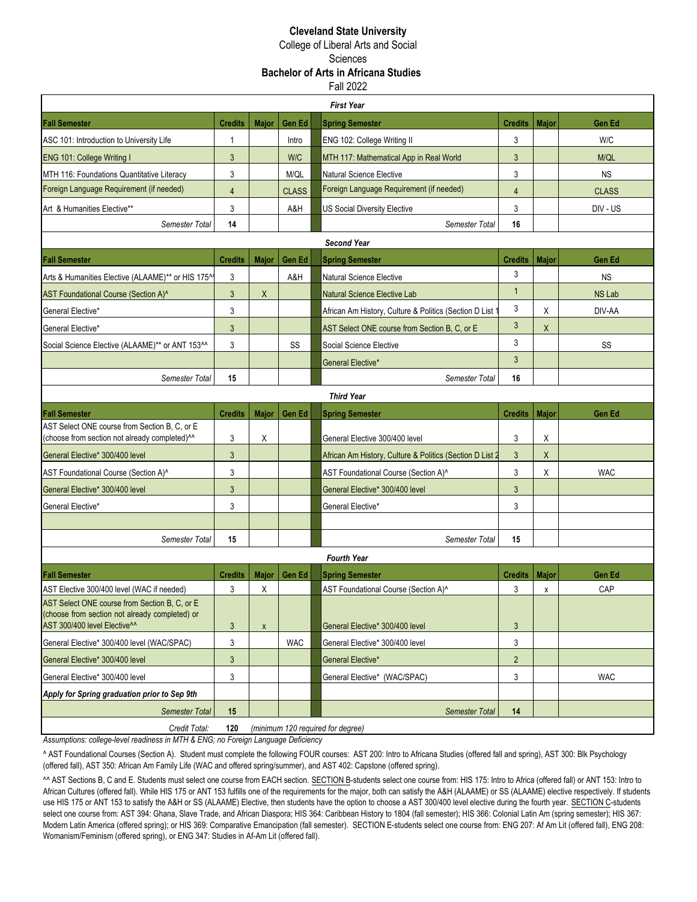### **Cleveland State University**

College of Liberal Arts and Social **Sciences** 

# **Bachelor of Arts in Africana Studies**

Fall 2022

|                                                                                                                                             |                |                    |               | <b>First Year</b>                                        |                 |              |               |
|---------------------------------------------------------------------------------------------------------------------------------------------|----------------|--------------------|---------------|----------------------------------------------------------|-----------------|--------------|---------------|
| <b>Fall Semester</b>                                                                                                                        | <b>Credits</b> | <b>Major</b>       | <b>Gen Ed</b> | <b>Spring Semester</b>                                   | Credits         | <b>Major</b> | Gen Ed        |
| ASC 101: Introduction to University Life                                                                                                    | $\mathbf{1}$   |                    | Intro         | ENG 102: College Writing II                              | 3               |              | W/C           |
| <b>ENG 101: College Writing I</b>                                                                                                           | 3              |                    | <b>W/C</b>    | MTH 117: Mathematical App in Real World                  | 3               |              | M/QL          |
| MTH 116: Foundations Quantitative Literacy                                                                                                  | 3              |                    | M/QL          | <b>Natural Science Elective</b>                          | 3               |              | <b>NS</b>     |
| Foreign Language Requirement (if needed)                                                                                                    | $\overline{4}$ |                    | <b>CLASS</b>  | Foreign Language Requirement (if needed)                 | $\overline{4}$  |              | <b>CLASS</b>  |
| Art & Humanities Elective**                                                                                                                 | 3              |                    | A&H           | <b>US Social Diversity Elective</b>                      | 3               |              | DIV - US      |
| Semester Total                                                                                                                              | 14             |                    |               | Semester Total                                           | 16              |              |               |
|                                                                                                                                             |                |                    |               | <b>Second Year</b>                                       |                 |              |               |
| <b>Fall Semester</b>                                                                                                                        | <b>Credits</b> | Major              | Gen Ed        | <b>Spring Semester</b>                                   | Credits   Major |              | Gen Ed        |
| Arts & Humanities Elective (ALAAME)** or HIS 175^                                                                                           | 3              |                    | A&H           | <b>Natural Science Elective</b>                          | 3               |              | <b>NS</b>     |
| AST Foundational Course (Section A)^                                                                                                        | 3              | X                  |               | <b>Natural Science Elective Lab</b>                      | $\mathbf{1}$    |              | <b>NS Lab</b> |
| General Elective*                                                                                                                           | 3              |                    |               | African Am History, Culture & Politics (Section D List   | 3               | X            | DIV-AA        |
| General Elective*                                                                                                                           | 3              |                    |               | AST Select ONE course from Section B, C, or E            | 3               | X            |               |
| Social Science Elective (ALAAME)** or ANT 153^^                                                                                             | 3              |                    | SS            | Social Science Elective                                  | 3               |              | SS            |
|                                                                                                                                             |                |                    |               | General Elective*                                        | 3               |              |               |
| Semester Total                                                                                                                              | 15             |                    |               | Semester Total                                           | 16              |              |               |
|                                                                                                                                             |                |                    |               | <b>Third Year</b>                                        |                 |              |               |
| <b>Fall Semester</b>                                                                                                                        | <b>Credits</b> | Major              | Gen Ed        | <b>Spring Semester</b>                                   | <b>Credits</b>  | <b>Major</b> | Gen Ed        |
| AST Select ONE course from Section B, C, or E<br>(choose from section not already completed) <sup>^^</sup>                                  | 3              | Χ                  |               | General Elective 300/400 level                           | 3               | Χ            |               |
| General Elective* 300/400 level                                                                                                             | 3              |                    |               | African Am History, Culture & Politics (Section D List 2 | $\mathbf{3}$    | X            |               |
| AST Foundational Course (Section A)^                                                                                                        | 3              |                    |               | AST Foundational Course (Section A)^                     | 3               | Χ            | <b>WAC</b>    |
| General Elective* 300/400 level                                                                                                             | 3              |                    |               | General Elective* 300/400 level                          | 3               |              |               |
| General Elective*                                                                                                                           | 3              |                    |               | General Elective*                                        | 3               |              |               |
|                                                                                                                                             |                |                    |               |                                                          |                 |              |               |
| <b>Semester Total</b>                                                                                                                       | 15             |                    |               | Semester Total                                           | 15              |              |               |
|                                                                                                                                             |                |                    |               | <b>Fourth Year</b>                                       |                 |              |               |
| <b>Fall Semester</b>                                                                                                                        | <b>Credits</b> | <b>Major</b>       | Gen Ed        | <b>Spring Semester</b>                                   | <b>Credits</b>  | <b>Major</b> | Gen Ed        |
| AST Elective 300/400 level (WAC if needed)                                                                                                  | 3              | X                  |               | AST Foundational Course (Section A)^                     | 3               | χ            | CAP           |
| AST Select ONE course from Section B, C, or E<br>(choose from section not already completed) or<br>AST 300/400 level Elective <sup>^^</sup> | 3              | $\pmb{\mathsf{X}}$ |               | General Elective* 300/400 level                          | 3               |              |               |
| General Elective* 300/400 level (WAC/SPAC)                                                                                                  | 3              |                    | <b>WAC</b>    | General Elective* 300/400 level                          | 3               |              |               |
| General Elective* 300/400 level                                                                                                             | 3              |                    |               | General Elective*                                        | $\overline{2}$  |              |               |
| General Elective* 300/400 level                                                                                                             | 3              |                    |               | General Elective* (WAC/SPAC)                             | 3               |              | <b>WAC</b>    |
| Apply for Spring graduation prior to Sep 9th                                                                                                |                |                    |               |                                                          |                 |              |               |
| <b>Semester Total</b>                                                                                                                       | 15             |                    |               | <b>Semester Total</b>                                    | 14              |              |               |
| Credit Total:                                                                                                                               | 120            |                    |               | (minimum 120 required for degree)                        |                 |              |               |

*Assumptions: college-level readiness in MTH & ENG; no Foreign Language Deficiency*

^ AST Foundational Courses (Section A). Student must complete the following FOUR courses: AST 200: Intro to Africana Studies (offered fall and spring), AST 300: Blk Psychology (offered fall), AST 350: African Am Family Life (WAC and offered spring/summer), and AST 402: Capstone (offered spring).

^^ AST Sections B, C and E. Students must select one course from EACH section. SECTION B-students select one course from: HIS 175: Intro to Africa (offered fall) or ANT 153: Intro to African Cultures (offered fall). While HIS 175 or ANT 153 fulfills one of the requirements for the major, both can satisfy the A&H (ALAAME) or SS (ALAAME) elective respectively. If students use HIS 175 or ANT 153 to satisfy the A&H or SS (ALAAME) Elective, then students have the option to choose a AST 300/400 level elective during the fourth year. SECTION C-students select one course from: AST 394: Ghana, Slave Trade, and African Diaspora; HIS 364: Caribbean History to 1804 (fall semester); HIS 366: Colonial Latin Am (spring semester); HIS 367: Modern Latin America (offered spring); or HIS 369: Comparative Emancipation (fall semester). SECTION E-students select one course from: ENG 207: Af Am Lit (offered fall), ENG 208: Womanism/Feminism (offered spring), or ENG 347: Studies in Af-Am Lit (offered fall).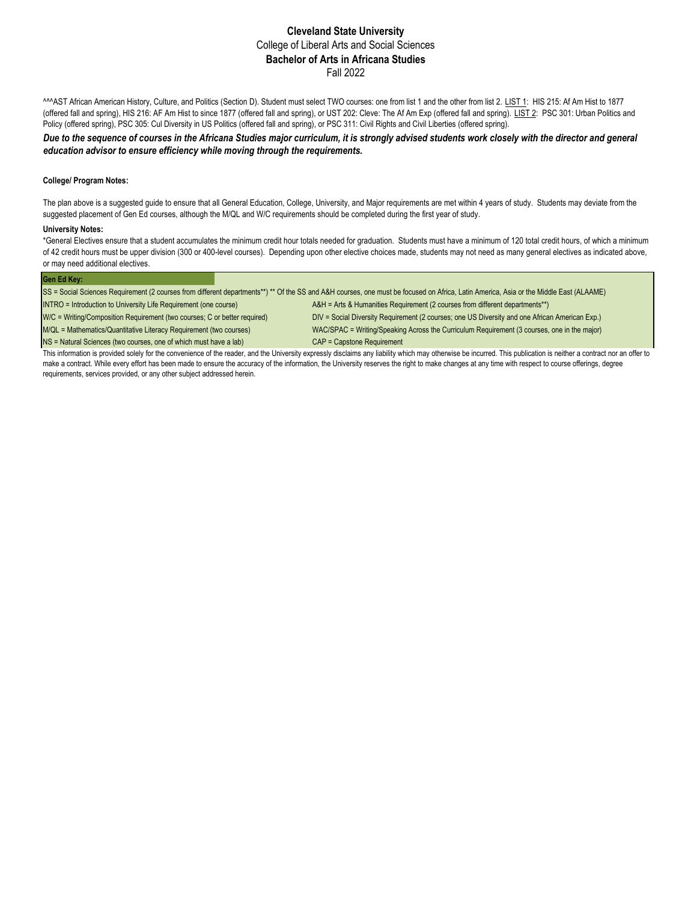### **Cleveland State University** College of Liberal Arts and Social Sciences **Bachelor of Arts in Africana Studies** Fall 2022

^^^AST African American History, Culture, and Politics (Section D). Student must select TWO courses: one from list 1 and the other from list 2. LIST 1: HIS 215: Af Am Hist to 1877 (offered fall and spring), HIS 216: AF Am Hist to since 1877 (offered fall and spring), or UST 202: Cleve: The Af Am Exp (offered fall and spring). LIST 2: PSC 301: Urban Politics and Policy (offered spring), PSC 305: Cul Diversity in US Politics (offered fall and spring), or PSC 311: Civil Rights and Civil Liberties (offered spring).

*Due to the sequence of courses in the Africana Studies major curriculum, it is strongly advised students work closely with the director and general education advisor to ensure efficiency while moving through the requirements.*

### **College/ Program Notes:**

The plan above is a suggested guide to ensure that all General Education, College, University, and Major requirements are met within 4 years of study. Students may deviate from the suggested placement of Gen Ed courses, although the M/QL and W/C requirements should be completed during the first year of study.

#### **University Notes:**

\*General Electives ensure that a student accumulates the minimum credit hour totals needed for graduation. Students must have a minimum of 120 total credit hours, of which a minimum of 42 credit hours must be upper division (300 or 400-level courses). Depending upon other elective choices made, students may not need as many general electives as indicated above, or may need additional electives.

| lGen Ed Kev:                                                                                                                                                                            |  |  |  |
|-----------------------------------------------------------------------------------------------------------------------------------------------------------------------------------------|--|--|--|
| ISS = Social Sciences Requirement (2 courses from different departments**) ** Of the SS and A&H courses, one must be focused on Africa, Latin America, Asia or the Middle East (ALAAME) |  |  |  |

INTRO = Introduction to University Life Requirement (one course) A&H = Arts & Humanities Requirement (2 courses from different departments\*\*)

W/C = Writing/Composition Requirement (two courses; C or better required) DIV = Social Diversity Requirement (2 courses; one US Diversity and one African American Exp.) M/QL = Mathematics/Quantitative Literacy Requirement (two courses) WAC/SPAC = Writing/Speaking Across the Curriculum Requirement (3 courses, one in the major)

NS = Natural Sciences (two courses, one of which must have a lab) CAP = Capstone Requirement

This information is provided solely for the convenience of the reader, and the University expressly disclaims any liability which may otherwise be incurred. This publication is neither a contract nor an offer to make a contract. While every effort has been made to ensure the accuracy of the information, the University reserves the right to make changes at any time with respect to course offerings, degree requirements, services provided, or any other subject addressed herein.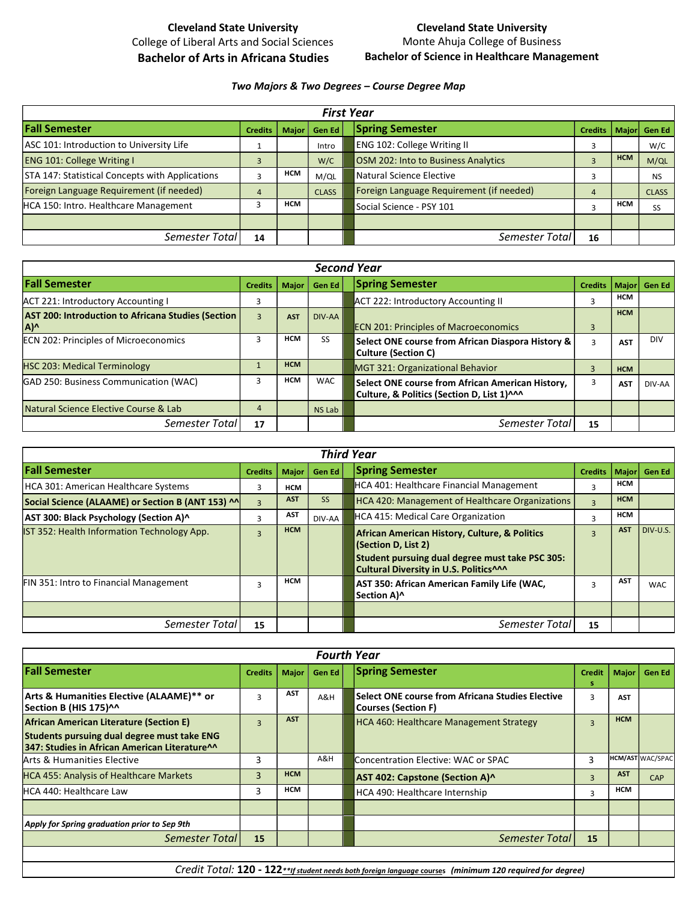# Cleveland State University College of Liberal Arts and Social Sciences Bachelor of Arts in Africana Studies

### Cleveland State University Monte Ahuja College of Business Bachelor of Science in Healthcare Management

### Two Majors & Two Degrees – Course Degree Map

| <b>First Year</b>                               |    |            |                          |                                          |                |            |              |
|-------------------------------------------------|----|------------|--------------------------|------------------------------------------|----------------|------------|--------------|
| <b>Fall Semester</b>                            |    |            | Credits   Major   Gen Ed | Spring Semester                          | <b>Credits</b> |            | Major Gen Ed |
| ASC 101: Introduction to University Life        |    |            | Intro                    | <b>ENG 102: College Writing II</b>       |                |            | W/C          |
| <b>ENG 101: College Writing I</b>               |    |            | W/C                      | OSM 202: Into to Business Analytics      |                | <b>HCM</b> | M/QL         |
| STA 147: Statistical Concepts with Applications |    | <b>HCM</b> | M/QL                     | Natural Science Elective                 |                |            | <b>NS</b>    |
| Foreign Language Requirement (if needed)        |    |            | <b>CLASS</b>             | Foreign Language Requirement (if needed) |                |            | <b>CLASS</b> |
| HCA 150: Intro. Healthcare Management           |    | <b>HCM</b> |                          | Social Science - PSY 101                 |                | <b>HCM</b> | <b>SS</b>    |
|                                                 |    |            |                          |                                          |                |            |              |
| Semester Total                                  | 14 |            |                          | Semester Total                           | 16             |            |              |

| <b>Second Year</b>                                        |                |            |                |                                                                                                 |                |            |              |
|-----------------------------------------------------------|----------------|------------|----------------|-------------------------------------------------------------------------------------------------|----------------|------------|--------------|
| <b>Fall Semester</b>                                      | <b>Credits</b> |            | Major   Gen Ed | <b>Spring Semester</b>                                                                          | <b>Credits</b> |            | Major Gen Ed |
| ACT 221: Introductory Accounting I                        |                |            |                | ACT 222: Introductory Accounting II                                                             |                | <b>HCM</b> |              |
| AST 200: Introduction to Africana Studies (Section<br>A)^ |                | <b>AST</b> | DIV-AA         | <b>ECN 201: Principles of Macroeconomics</b>                                                    |                | <b>HCM</b> |              |
| ECN 202: Principles of Microeconomics                     |                | <b>HCM</b> | SS             | Select ONE course from African Diaspora History &<br><b>Culture (Section C)</b>                 |                | <b>AST</b> | <b>DIV</b>   |
| <b>HSC 203: Medical Terminology</b>                       |                | <b>HCM</b> |                | MGT 321: Organizational Behavior                                                                |                | <b>HCM</b> |              |
| GAD 250: Business Communication (WAC)                     |                | <b>HCM</b> | <b>WAC</b>     | Select ONE course from African American History,<br>Culture, & Politics (Section D, List 1) ^^^ |                | <b>AST</b> | DIV-AA       |
| Natural Science Elective Course & Lab                     |                |            | NS Lab         |                                                                                                 |                |            |              |
| Semester Total                                            | 17             |            |                | Semester Total                                                                                  | 15             |            |              |

| <b>Third Year</b>                                 |                |            |                |                                                                                                                                                                   |                |            |              |
|---------------------------------------------------|----------------|------------|----------------|-------------------------------------------------------------------------------------------------------------------------------------------------------------------|----------------|------------|--------------|
| <b>Fall Semester</b>                              | <b>Credits</b> |            | Major   Gen Ed | <b>Spring Semester</b>                                                                                                                                            | <b>Credits</b> |            | Major Gen Ed |
| HCA 301: American Healthcare Systems              |                | <b>HCM</b> |                | HCA 401: Healthcare Financial Management                                                                                                                          |                | <b>HCM</b> |              |
| Social Science (ALAAME) or Section B (ANT 153) ^^ |                | <b>AST</b> | 55             | HCA 420: Management of Healthcare Organizations                                                                                                                   |                | <b>HCM</b> |              |
| AST 300: Black Psychology (Section A)^            |                | AST        | DIV-AA         | <b>HCA 415: Medical Care Organization</b>                                                                                                                         |                | <b>HCM</b> |              |
| IST 352: Health Information Technology App.       |                | <b>HCM</b> |                | African American History, Culture, & Politics<br>(Section D, List 2)<br>Student pursuing dual degree must take PSC 305:<br>Cultural Diversity in U.S. Politics^^^ |                | <b>AST</b> | DIV-U.S.     |
| FIN 351: Intro to Financial Management            |                | <b>HCM</b> |                | AST 350: African American Family Life (WAC,<br>Section A)^                                                                                                        | 3              | <b>AST</b> | <b>WAC</b>   |
|                                                   |                |            |                |                                                                                                                                                                   |                |            |              |
| Semester Total                                    | 15             |            |                | Semester Total                                                                                                                                                    | 15             |            |              |

|                                                                                                          |                         |            |        | <b>Fourth Year</b>                                                             |                |            |                         |
|----------------------------------------------------------------------------------------------------------|-------------------------|------------|--------|--------------------------------------------------------------------------------|----------------|------------|-------------------------|
| <b>Fall Semester</b>                                                                                     | <b>Credits</b>          | Major      | Gen Ed | <b>Spring Semester</b>                                                         | <b>Credit</b>  | Major      | Gen Ed                  |
| Arts & Humanities Elective (ALAAME)** or<br>Section B (HIS 175)^^                                        |                         | AST        | A&H    | Select ONE course from Africana Studies Elective<br><b>Courses (Section F)</b> |                | <b>AST</b> |                         |
| <b>African American Literature (Section E)</b>                                                           | $\overline{\mathbf{z}}$ | <b>AST</b> |        | HCA 460: Healthcare Management Strategy                                        | $\overline{3}$ | <b>HCM</b> |                         |
| Students pursuing dual degree must take ENG<br>347: Studies in African American Literature <sup>11</sup> |                         |            |        |                                                                                |                |            |                         |
| Arts & Humanities Elective                                                                               | 3                       |            | A&H    | Concentration Elective: WAC or SPAC                                            | p              |            | <b>HCM/AST WAC/SPAC</b> |
| HCA 455: Analysis of Healthcare Markets                                                                  |                         | <b>HCM</b> |        | AST 402: Capstone (Section A)^                                                 | $\overline{3}$ | <b>AST</b> | CAP                     |
| <b>HCA 440: Healthcare Law</b>                                                                           | 3                       | <b>HCM</b> |        | HCA 490: Healthcare Internship                                                 | 3              | <b>HCM</b> |                         |
| Apply for Spring graduation prior to Sep 9th                                                             |                         |            |        |                                                                                |                |            |                         |
| Semester Total                                                                                           | 15                      |            |        | Semester Total                                                                 | 15             |            |                         |

Credit Total: 120 - 122<sup>\*\*</sup>If student needs both foreign language courses (minimum 120 required for degree)